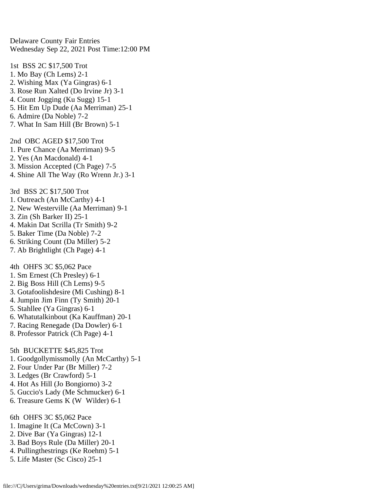Delaware County Fair Entries Wednesday Sep 22, 2021 Post Time:12:00 PM

1st BSS 2C \$17,500 Trot 1. Mo Bay (Ch Lems) 2-1 2. Wishing Max (Ya Gingras) 6-1 3. Rose Run Xalted (Do Irvine Jr) 3-1 4. Count Jogging (Ku Sugg) 15-1 5. Hit Em Up Dude (Aa Merriman) 25-1 6. Admire (Da Noble) 7-2 7. What In Sam Hill (Br Brown) 5-1

2nd OBC AGED \$17,500 Trot

- 1. Pure Chance (Aa Merriman) 9-5
- 2. Yes (An Macdonald) 4-1
- 3. Mission Accepted (Ch Page) 7-5
- 4. Shine All The Way (Ro Wrenn Jr.) 3-1

3rd BSS 2C \$17,500 Trot

- 1. Outreach (An McCarthy) 4-1
- 2. New Westerville (Aa Merriman) 9-1
- 3. Zin (Sh Barker II) 25-1
- 4. Makin Dat Scrilla (Tr Smith) 9-2
- 5. Baker Time (Da Noble) 7-2
- 6. Striking Count (Da Miller) 5-2
- 7. Ab Brightlight (Ch Page) 4-1

4th OHFS 3C \$5,062 Pace

- 1. Sm Ernest (Ch Presley) 6-1
- 2. Big Boss Hill (Ch Lems) 9-5
- 3. Gotafoolishdesire (Mi Cushing) 8-1
- 4. Jumpin Jim Finn (Ty Smith) 20-1
- 5. Stahllee (Ya Gingras) 6-1
- 6. Whatutalkinbout (Ka Kauffman) 20-1
- 7. Racing Renegade (Da Dowler) 6-1
- 8. Professor Patrick (Ch Page) 4-1

5th BUCKETTE \$45,825 Trot

- 1. Goodgollymissmolly (An McCarthy) 5-1
- 2. Four Under Par (Br Miller) 7-2
- 3. Ledges (Br Crawford) 5-1
- 4. Hot As Hill (Jo Bongiorno) 3-2
- 5. Guccio's Lady (Me Schmucker) 6-1
- 6. Treasure Gems K (W Wilder) 6-1

6th OHFS 3C \$5,062 Pace

- 1. Imagine It (Ca McCown) 3-1
- 2. Dive Bar (Ya Gingras) 12-1
- 3. Bad Boys Rule (Da Miller) 20-1
- 4. Pullingthestrings (Ke Roehm) 5-1
- 5. Life Master (Sc Cisco) 25-1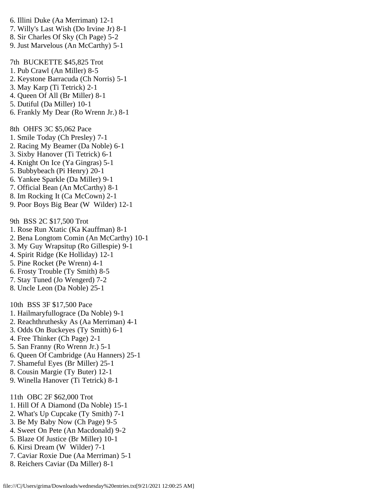- 6. Illini Duke (Aa Merriman) 12-1
- 7. Willy's Last Wish (Do Irvine Jr) 8-1
- 8. Sir Charles Of Sky (Ch Page) 5-2
- 9. Just Marvelous (An McCarthy) 5-1

7th BUCKETTE \$45,825 Trot

- 1. Pub Crawl (An Miller) 8-5
- 2. Keystone Barracuda (Ch Norris) 5-1
- 3. May Karp (Ti Tetrick) 2-1
- 4. Queen Of All (Br Miller) 8-1
- 5. Dutiful (Da Miller) 10-1
- 6. Frankly My Dear (Ro Wrenn Jr.) 8-1

8th OHFS 3C \$5,062 Pace

- 1. Smile Today (Ch Presley) 7-1
- 2. Racing My Beamer (Da Noble) 6-1
- 3. Sixby Hanover (Ti Tetrick) 6-1
- 4. Knight On Ice (Ya Gingras) 5-1
- 5. Bubbybeach (Pi Henry) 20-1
- 6. Yankee Sparkle (Da Miller) 9-1
- 7. Official Bean (An McCarthy) 8-1
- 8. Im Rocking It (Ca McCown) 2-1
- 9. Poor Boys Big Bear (W Wilder) 12-1

9th BSS 2C \$17,500 Trot

- 1. Rose Run Xtatic (Ka Kauffman) 8-1
- 2. Bena Longtom Comin (An McCarthy) 10-1
- 3. My Guy Wrapsitup (Ro Gillespie) 9-1
- 4. Spirit Ridge (Ke Holliday) 12-1
- 5. Pine Rocket (Pe Wrenn) 4-1
- 6. Frosty Trouble (Ty Smith) 8-5
- 7. Stay Tuned (Jo Wengerd) 7-2
- 8. Uncle Leon (Da Noble) 25-1

10th BSS 3F \$17,500 Pace

- 1. Hailmaryfullograce (Da Noble) 9-1
- 2. Reachthruthesky As (Aa Merriman) 4-1
- 3. Odds On Buckeyes (Ty Smith) 6-1
- 4. Free Thinker (Ch Page) 2-1
- 5. San Franny (Ro Wrenn Jr.) 5-1
- 6. Queen Of Cambridge (Au Hanners) 25-1
- 7. Shameful Eyes (Br Miller) 25-1
- 8. Cousin Margie (Ty Buter) 12-1
- 9. Winella Hanover (Ti Tetrick) 8-1
- 11th OBC 2F \$62,000 Trot
- 1. Hill Of A Diamond (Da Noble) 15-1
- 2. What's Up Cupcake (Ty Smith) 7-1
- 3. Be My Baby Now (Ch Page) 9-5
- 4. Sweet On Pete (An Macdonald) 9-2
- 5. Blaze Of Justice (Br Miller) 10-1
- 6. Kirsi Dream (W Wilder) 7-1
- 7. Caviar Roxie Due (Aa Merriman) 5-1
- 8. Reichers Caviar (Da Miller) 8-1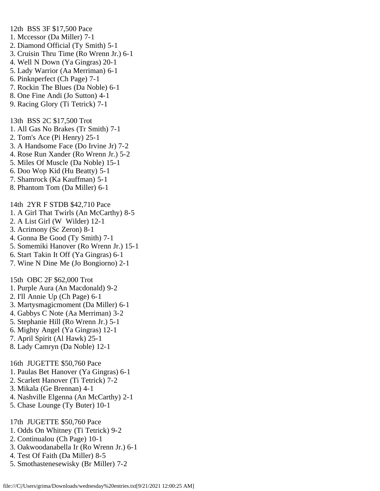1. Mccessor (Da Miller) 7-1 2. Diamond Official (Ty Smith) 5-1 3. Cruisin Thru Time (Ro Wrenn Jr.) 6-1 4. Well N Down (Ya Gingras) 20-1 5. Lady Warrior (Aa Merriman) 6-1 6. Pinknperfect (Ch Page) 7-1 7. Rockin The Blues (Da Noble) 6-1 8. One Fine Andi (Jo Sutton) 4-1 9. Racing Glory (Ti Tetrick) 7-1 13th BSS 2C \$17,500 Trot 1. All Gas No Brakes (Tr Smith) 7-1 2. Tom's Ace (Pi Henry) 25-1 3. A Handsome Face (Do Irvine Jr) 7-2 4. Rose Run Xander (Ro Wrenn Jr.) 5-2 5. Miles Of Muscle (Da Noble) 15-1 6. Doo Wop Kid (Hu Beatty) 5-1 7. Shamrock (Ka Kauffman) 5-1 8. Phantom Tom (Da Miller) 6-1 14th 2YR F STDB \$42,710 Pace 1. A Girl That Twirls (An McCarthy) 8-5 2. A List Girl (W Wilder) 12-1 3. Acrimony (Sc Zeron) 8-1 4. Gonna Be Good (Ty Smith) 7-1 5. Somemiki Hanover (Ro Wrenn Jr.) 15-1 6. Start Takin It Off (Ya Gingras) 6-1 7. Wine N Dine Me (Jo Bongiorno) 2-1 15th OBC 2F \$62,000 Trot 1. Purple Aura (An Macdonald) 9-2 2. I'll Annie Up (Ch Page) 6-1 3. Martysmagicmoment (Da Miller) 6-1 4. Gabbys C Note (Aa Merriman) 3-2 5. Stephanie Hill (Ro Wrenn Jr.) 5-1 6. Mighty Angel (Ya Gingras) 12-1 7. April Spirit (Al Hawk) 25-1 8. Lady Camryn (Da Noble) 12-1 16th JUGETTE \$50,760 Pace 1. Paulas Bet Hanover (Ya Gingras) 6-1 2. Scarlett Hanover (Ti Tetrick) 7-2 3. Mikala (Ge Brennan) 4-1

12th BSS 3F \$17,500 Pace

- 4. Nashville Elgenna (An McCarthy) 2-1
- 5. Chase Lounge (Ty Buter) 10-1

17th JUGETTE \$50,760 Pace

- 1. Odds On Whitney (Ti Tetrick) 9-2
- 2. Continualou (Ch Page) 10-1
- 3. Oakwoodanabella Ir (Ro Wrenn Jr.) 6-1
- 4. Test Of Faith (Da Miller) 8-5
- 5. Smothastenesewisky (Br Miller) 7-2